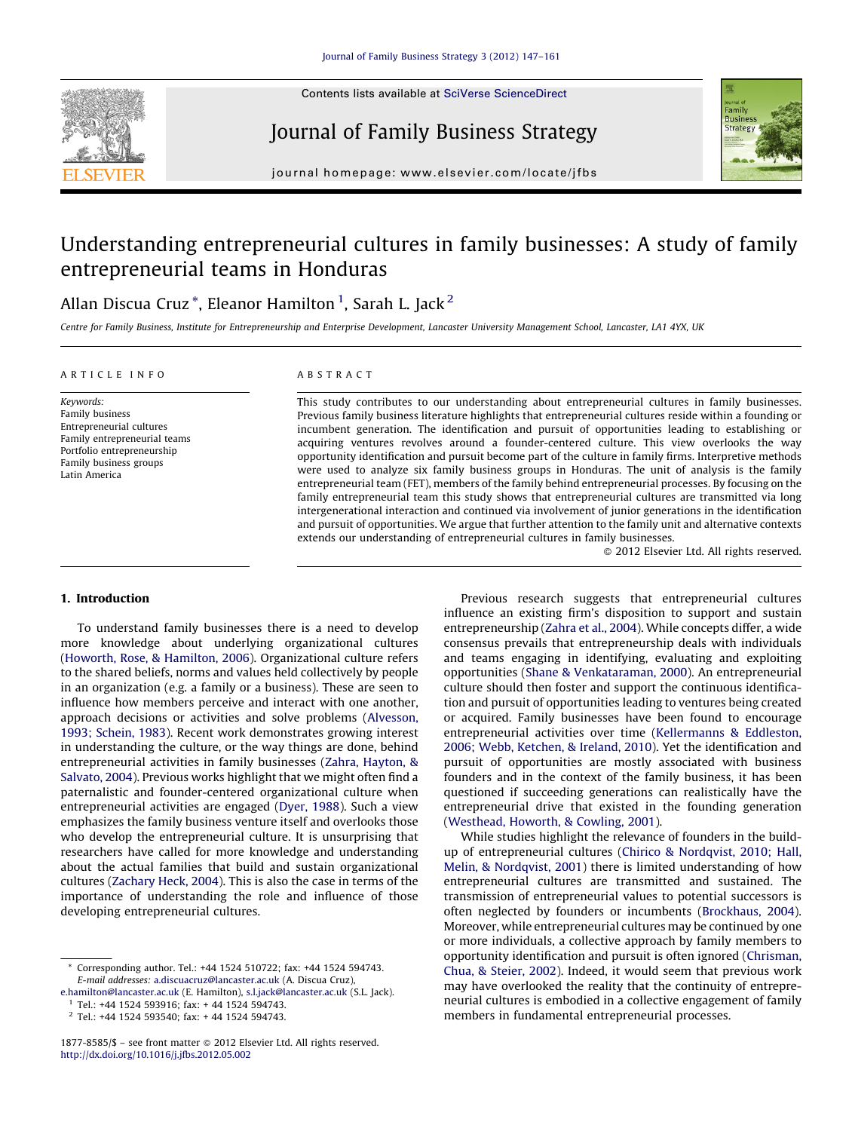

Contents lists available at SciVerse [ScienceDirect](http://)

Journal of Family Business Strategy



journal homepage: www.elsevier.com/locate/jfbs

## Understanding entrepreneurial cultures in family businesses: A study of family entrepreneurial teams in Honduras

### Allan Discua Cruz $^{\ast}$ , Eleanor Hamilton $^1$ , Sarah L. Jack $^2$

Centre for Family Business, Institute for Entrepreneurship and Enterprise Development, Lancaster University Management School, Lancaster, LA1 4YX, UK

#### A R T I C L E I N F O

Keywords: Family business Entrepreneurial cultures Family entrepreneurial teams Portfolio entrepreneurship Family business groups Latin America

#### A B S T R A C T

This study contributes to our understanding about entrepreneurial cultures in family businesses. Previous family business literature highlights that entrepreneurial cultures reside within a founding or incumbent generation. The identification and pursuit of opportunities leading to establishing or acquiring ventures revolves around a founder-centered culture. This view overlooks the way opportunity identification and pursuit become part of the culture in family firms. Interpretive methods were used to analyze six family business groups in Honduras. The unit of analysis is the family entrepreneurial team (FET), members of the family behind entrepreneurial processes. By focusing on the family entrepreneurial team this study shows that entrepreneurial cultures are transmitted via long intergenerational interaction and continued via involvement of junior generations in the identification and pursuit of opportunities. We argue that further attention to the family unit and alternative contexts extends our understanding of entrepreneurial cultures in family businesses.

- 2012 Elsevier Ltd. All rights reserved.

#### 1. Introduction

To understand family businesses there is a need to develop more knowledge about underlying organizational cultures (Howorth, Rose, & [Hamilton,](#page--1-0) 2006). Organizational culture refers to the shared beliefs, norms and values held collectively by people in an organization (e.g. a family or a business). These are seen to influence how members perceive and interact with one another, approach decisions or activities and solve problems ([Alvesson,](#page--1-0) 1993; [Schein,](#page--1-0) 1983). Recent work demonstrates growing interest in understanding the culture, or the way things are done, behind entrepreneurial activities in family businesses (Zahra, [Hayton,](#page--1-0) & [Salvato,](#page--1-0) 2004). Previous works highlight that we might often find a paternalistic and founder-centered organizational culture when entrepreneurial activities are engaged ([Dyer,](#page--1-0) 1988). Such a view emphasizes the family business venture itself and overlooks those who develop the entrepreneurial culture. It is unsurprising that researchers have called for more knowledge and understanding about the actual families that build and sustain organizational cultures ([Zachary](#page--1-0) Heck, 2004). This is also the case in terms of the importance of understanding the role and influence of those developing entrepreneurial cultures.

Previous research suggests that entrepreneurial cultures influence an existing firm's disposition to support and sustain entrepreneurship ([Zahra](#page--1-0) et al., 2004). While concepts differ, a wide consensus prevails that entrepreneurship deals with individuals and teams engaging in identifying, evaluating and exploiting opportunities (Shane & [Venkataraman,](#page--1-0) 2000). An entrepreneurial culture should then foster and support the continuous identification and pursuit of opportunities leading to ventures being created or acquired. Family businesses have been found to encourage entrepreneurial activities over time [\(Kellermanns](#page--1-0) & Eddleston, 2006; Webb, [Ketchen,](#page--1-0) & Ireland, 2010). Yet the identification and pursuit of opportunities are mostly associated with business founders and in the context of the family business, it has been questioned if succeeding generations can realistically have the entrepreneurial drive that existed in the founding generation ([Westhead,](#page--1-0) Howorth, & Cowling, 2001).

While studies highlight the relevance of founders in the buildup of entrepreneurial cultures (Chirico & [Nordqvist,](#page--1-0) 2010; Hall, Melin, & [Nordqvist,](#page--1-0) 2001) there is limited understanding of how entrepreneurial cultures are transmitted and sustained. The transmission of entrepreneurial values to potential successors is often neglected by founders or incumbents ([Brockhaus,](#page--1-0) 2004). Moreover, while entrepreneurial cultures may be continued by one or more individuals, a collective approach by family members to opportunity identification and pursuit is often ignored [\(Chrisman,](#page--1-0) Chua, & [Steier,](#page--1-0) 2002). Indeed, it would seem that previous work may have overlooked the reality that the continuity of entrepreneurial cultures is embodied in a collective engagement of family members in fundamental entrepreneurial processes.

Corresponding author. Tel.: +44 1524 510722; fax: +44 1524 594743. E-mail addresses: [a.discuacruz@lancaster.ac.uk](mailto:a.discuacruz@lancaster.ac.uk) (A. Discua Cruz),

[e.hamilton@lancaster.ac.uk](mailto:e.hamilton@lancaster.ac.uk) (E. Hamilton), [s.l.jack@lancaster.ac.uk](mailto:s.l.jack@lancaster.ac.uk) (S.L. Jack). <sup>1</sup> Tel.: +44 1524 593916; fax: + 44 1524 594743.

<sup>2</sup> Tel.: +44 1524 593540; fax: + 44 1524 594743.

<sup>1877-8585/\$ -</sup> see front matter @ 2012 Elsevier Ltd. All rights reserved. <http://dx.doi.org/10.1016/j.jfbs.2012.05.002>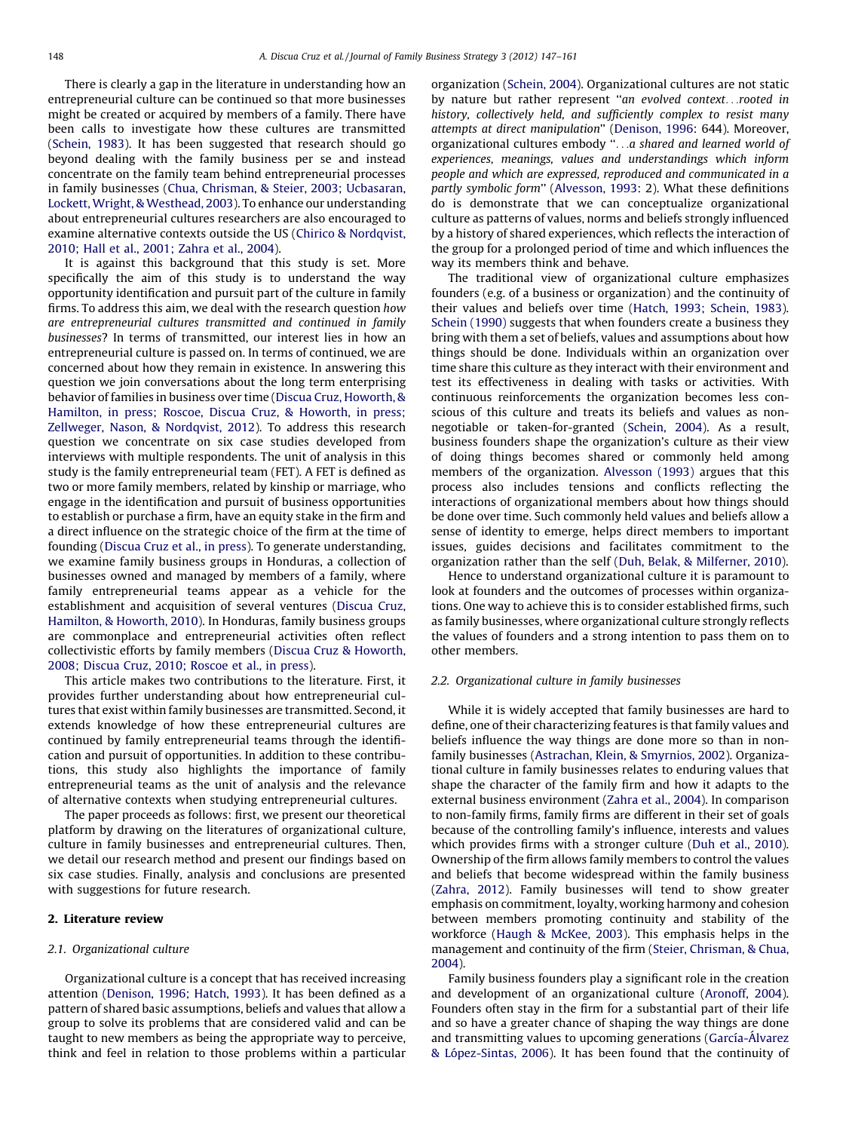There is clearly a gap in the literature in understanding how an entrepreneurial culture can be continued so that more businesses might be created or acquired by members of a family. There have been calls to investigate how these cultures are transmitted ([Schein,](#page--1-0) 1983). It has been suggested that research should go beyond dealing with the family business per se and instead concentrate on the family team behind entrepreneurial processes in family businesses (Chua, Chrisman, & Steier, 2003; [Ucbasaran,](#page--1-0) Lockett, Wright, & [Westhead,](#page--1-0) 2003). To enhance our understanding about entrepreneurial cultures researchers are also encouraged to examine alternative contexts outside the US (Chirico & [Nordqvist,](#page--1-0) 2010; Hall et al., [2001;](#page--1-0) Zahra et al., 2004).

It is against this background that this study is set. More specifically the aim of this study is to understand the way opportunity identification and pursuit part of the culture in family firms. To address this aim, we deal with the research question how are entrepreneurial cultures transmitted and continued in family businesses? In terms of transmitted, our interest lies in how an entrepreneurial culture is passed on. In terms of continued, we are concerned about how they remain in existence. In answering this question we join conversations about the long term enterprising behavior of families in business over time (Discua Cruz, [Howorth,](#page--1-0) & [Hamilton,](#page--1-0) in press; Roscoe, Discua Cruz, & Howorth, in press; Zellweger, Nason, & [Nordqvist,](#page--1-0) 2012). To address this research question we concentrate on six case studies developed from interviews with multiple respondents. The unit of analysis in this study is the family entrepreneurial team (FET). A FET is defined as two or more family members, related by kinship or marriage, who engage in the identification and pursuit of business opportunities to establish or purchase a firm, have an equity stake in the firm and a direct influence on the strategic choice of the firm at the time of founding [\(Discua](#page--1-0) Cruz et al., in press). To generate understanding, we examine family business groups in Honduras, a collection of businesses owned and managed by members of a family, where family entrepreneurial teams appear as a vehicle for the establishment and acquisition of several ventures [\(Discua](#page--1-0) Cruz, [Hamilton,](#page--1-0) & Howorth, 2010). In Honduras, family business groups are commonplace and entrepreneurial activities often reflect collectivistic efforts by family members (Discua Cruz & [Howorth,](#page--1-0) 2008; Discua Cruz, 2010; [Roscoe](#page--1-0) et al., in press).

This article makes two contributions to the literature. First, it provides further understanding about how entrepreneurial cultures that exist within family businesses are transmitted. Second, it extends knowledge of how these entrepreneurial cultures are continued by family entrepreneurial teams through the identification and pursuit of opportunities. In addition to these contributions, this study also highlights the importance of family entrepreneurial teams as the unit of analysis and the relevance of alternative contexts when studying entrepreneurial cultures.

The paper proceeds as follows: first, we present our theoretical platform by drawing on the literatures of organizational culture, culture in family businesses and entrepreneurial cultures. Then, we detail our research method and present our findings based on six case studies. Finally, analysis and conclusions are presented with suggestions for future research.

#### 2. Literature review

#### 2.1. Organizational culture

Organizational culture is a concept that has received increasing attention ([Denison,](#page--1-0) 1996; Hatch, 1993). It has been defined as a pattern of shared basic assumptions, beliefs and values that allow a group to solve its problems that are considered valid and can be taught to new members as being the appropriate way to perceive, think and feel in relation to those problems within a particular organization [\(Schein,](#page--1-0) 2004). Organizational cultures are not static by nature but rather represent "an evolved context...rooted in history, collectively held, and sufficiently complex to resist many attempts at direct manipulation'' [\(Denison,](#page--1-0) 1996: 644). Moreover, organizational cultures embody ''. . .a shared and learned world of experiences, meanings, values and understandings which inform people and which are expressed, reproduced and communicated in a partly symbolic form'' [\(Alvesson,](#page--1-0) 1993: 2). What these definitions do is demonstrate that we can conceptualize organizational culture as patterns of values, norms and beliefs strongly influenced by a history of shared experiences, which reflects the interaction of the group for a prolonged period of time and which influences the way its members think and behave.

The traditional view of organizational culture emphasizes founders (e.g. of a business or organization) and the continuity of their values and beliefs over time (Hatch, 1993; [Schein,](#page--1-0) 1983). Schein [\(1990\)](#page--1-0) suggests that when founders create a business they bring with them a set of beliefs, values and assumptions about how things should be done. Individuals within an organization over time share this culture as they interact with their environment and test its effectiveness in dealing with tasks or activities. With continuous reinforcements the organization becomes less conscious of this culture and treats its beliefs and values as nonnegotiable or taken-for-granted ([Schein,](#page--1-0) 2004). As a result, business founders shape the organization's culture as their view of doing things becomes shared or commonly held among members of the organization. [Alvesson](#page--1-0) (1993) argues that this process also includes tensions and conflicts reflecting the interactions of organizational members about how things should be done over time. Such commonly held values and beliefs allow a sense of identity to emerge, helps direct members to important issues, guides decisions and facilitates commitment to the organization rather than the self (Duh, Belak, & [Milferner,](#page--1-0) 2010).

Hence to understand organizational culture it is paramount to look at founders and the outcomes of processes within organizations. One way to achieve this is to consider established firms, such as family businesses, where organizational culture strongly reflects the values of founders and a strong intention to pass them on to other members.

#### 2.2. Organizational culture in family businesses

While it is widely accepted that family businesses are hard to define, one of their characterizing features is that family values and beliefs influence the way things are done more so than in nonfamily businesses ([Astrachan,](#page--1-0) Klein, & Smyrnios, 2002). Organizational culture in family businesses relates to enduring values that shape the character of the family firm and how it adapts to the external business environment [\(Zahra](#page--1-0) et al., 2004). In comparison to non-family firms, family firms are different in their set of goals because of the controlling family's influence, interests and values which provides firms with a stronger culture (Duh et al., [2010\)](#page--1-0). Ownership of the firm allows family members to control the values and beliefs that become widespread within the family business ([Zahra,](#page--1-0) 2012). Family businesses will tend to show greater emphasis on commitment, loyalty, working harmony and cohesion between members promoting continuity and stability of the workforce (Haugh & [McKee,](#page--1-0) 2003). This emphasis helps in the management and continuity of the firm (Steier, [Chrisman,](#page--1-0) & Chua, [2004\)](#page--1-0).

Family business founders play a significant role in the creation and development of an organizational culture ([Aronoff,](#page--1-0) 2004). Founders often stay in the firm for a substantial part of their life and so have a greater chance of shaping the way things are done and transmitting values to upcoming generations (García-Álvarez & Ló[pez-Sintas,](#page--1-0) 2006). It has been found that the continuity of